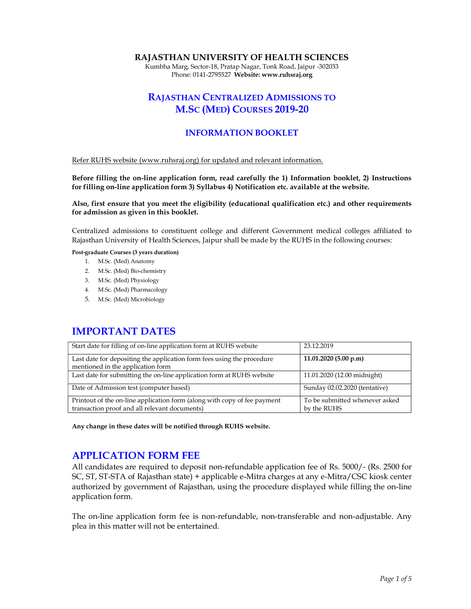#### RAJASTHAN UNIVERSITY OF HEALTH SCIENCES

Kumbha Marg, Sector-18, Pratap Nagar, Tonk Road, Jaipur -302033 Phone: 0141-2795527 Website: www.ruhsraj.org

# RAJASTHAN CENTRALIZED ADMISSIONS TO M.SC (MED) COURSES 2019-20

#### INFORMATION BOOKLET

Refer RUHS website (www.ruhsraj.org) for updated and relevant information.

Before filling the on-line application form, read carefully the 1) Information booklet, 2) Instructions for filling on-line application form 3) Syllabus 4) Notification etc. available at the website.

Also, first ensure that you meet the eligibility (educational qualification etc.) and other requirements for admission as given in this booklet.

Centralized admissions to constituent college and different Government medical colleges affiliated to Rajasthan University of Health Sciences, Jaipur shall be made by the RUHS in the following courses:

Post-graduate Courses (3 years duration)

- 1. M.Sc. (Med) Anatomy
- 2. M.Sc. (Med) Bio-chemistry
- 3. M.Sc. (Med) Physiology
- 4. M.Sc. (Med) Pharmacology
- 5. M.Sc. (Med) Microbiology

### IMPORTANT DATES

| Start date for filling of on-line application form at RUHS website                                                        | 23.12.2019                                    |
|---------------------------------------------------------------------------------------------------------------------------|-----------------------------------------------|
| Last date for depositing the application form fees using the procedure<br>mentioned in the application form               | 11.01.2020(5.00 p.m)                          |
| Last date for submitting the on-line application form at RUHS website                                                     | 11.01.2020 (12.00 midnight)                   |
| Date of Admission test (computer based)                                                                                   | Sunday 02.02.2020 (tentative)                 |
| Printout of the on-line application form (along with copy of fee payment<br>transaction proof and all relevant documents) | To be submitted whenever asked<br>by the RUHS |

Any change in these dates will be notified through RUHS website.

### APPLICATION FORM FEE

All candidates are required to deposit non-refundable application fee of Rs. 5000/- (Rs. 2500 for SC, ST, ST-STA of Rajasthan state) + applicable e-Mitra charges at any e-Mitra/CSC kiosk center authorized by government of Rajasthan, using the procedure displayed while filling the on-line application form.

The on-line application form fee is non-refundable, non-transferable and non-adjustable. Any plea in this matter will not be entertained.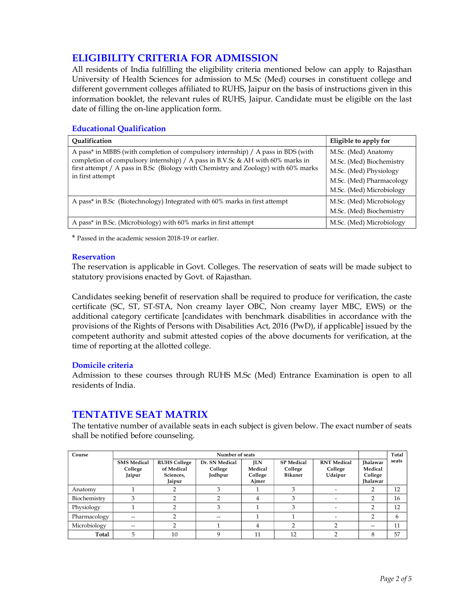# ELIGIBILITY CRITERIA FOR ADMISSION

All residents of India fulfilling the eligibility criteria mentioned below can apply to Rajasthan University of Health Sciences for admission to M.Sc (Med) courses in constituent college and different government colleges affiliated to RUHS, Jaipur on the basis of instructions given in this information booklet, the relevant rules of RUHS, Jaipur. Candidate must be eligible on the last date of filling the on-line application form.

#### Educational Qualification

| Oualification                                                                                                                                                                                                                                                                | Eligible to apply for                                                                                                             |
|------------------------------------------------------------------------------------------------------------------------------------------------------------------------------------------------------------------------------------------------------------------------------|-----------------------------------------------------------------------------------------------------------------------------------|
| A pass* in MBBS (with completion of compulsory internship) / A pass in BDS (with<br>completion of compulsory internship) / A pass in B.V.Sc & AH with 60% marks in<br>first attempt / A pass in B.Sc (Biology with Chemistry and Zoology) with 60% marks<br>in first attempt | M.Sc. (Med) Anatomy<br>M.Sc. (Med) Biochemistry<br>M.Sc. (Med) Physiology<br>M.Sc. (Med) Pharmacology<br>M.Sc. (Med) Microbiology |
| A pass* in B.Sc (Biotechnology) Integrated with 60% marks in first attempt                                                                                                                                                                                                   | M.Sc. (Med) Microbiology<br>M.Sc. (Med) Biochemistry                                                                              |
| A pass <sup>*</sup> in B.Sc. (Microbiology) with 60% marks in first attempt                                                                                                                                                                                                  | M.Sc. (Med) Microbiology                                                                                                          |

\* Passed in the academic session 2018-19 or earlier.

#### **Reservation**

The reservation is applicable in Govt. Colleges. The reservation of seats will be made subject to statutory provisions enacted by Govt. of Rajasthan.

Candidates seeking benefit of reservation shall be required to produce for verification, the caste certificate (SC, ST, ST-STA, Non creamy layer OBC, Non creamy layer MBC, EWS) or the additional category certificate [candidates with benchmark disabilities in accordance with the provisions of the Rights of Persons with Disabilities Act, 2016 (PwD), if applicable] issued by the competent authority and submit attested copies of the above documents for verification, at the time of reporting at the allotted college.

#### Domicile criteria

Admission to these courses through RUHS M.Sc (Med) Entrance Examination is open to all residents of India.

### TENTATIVE SEAT MATRIX

The tentative number of available seats in each subject is given below. The exact number of seats shall be notified before counseling.

| Course       | Number of seats                         |                                                          |                                      |                                           |                                                | Total                                    |                                                          |       |
|--------------|-----------------------------------------|----------------------------------------------------------|--------------------------------------|-------------------------------------------|------------------------------------------------|------------------------------------------|----------------------------------------------------------|-------|
|              | <b>SMS</b> Medical<br>College<br>Jaipur | <b>RUHS College</b><br>of Medical<br>Sciences,<br>Jaipur | Dr. SN Medical<br>College<br>Jodhpur | <b>JLN</b><br>Medical<br>College<br>Ajmer | <b>SP</b> Medical<br>College<br><b>Bikaner</b> | <b>RNT</b> Medical<br>College<br>Udaipur | <b>Ihalawar</b><br>Medical<br>College<br><b>Ihalawar</b> | seats |
| Anatomy      |                                         |                                                          |                                      |                                           | 3                                              |                                          | ∍                                                        | 12    |
| Biochemistry | 3                                       |                                                          |                                      | 4                                         | 3                                              |                                          | 2                                                        | 16    |
| Physiology   |                                         |                                                          |                                      |                                           | 3                                              |                                          |                                                          | 12    |
| Pharmacology | --                                      |                                                          | --                                   |                                           |                                                |                                          | ∍                                                        | 6     |
| Microbiology | --                                      |                                                          |                                      | 4                                         | ◠                                              |                                          |                                                          | 11    |
| Total        | 5                                       | 10                                                       |                                      | 11                                        | 12                                             |                                          |                                                          | 57    |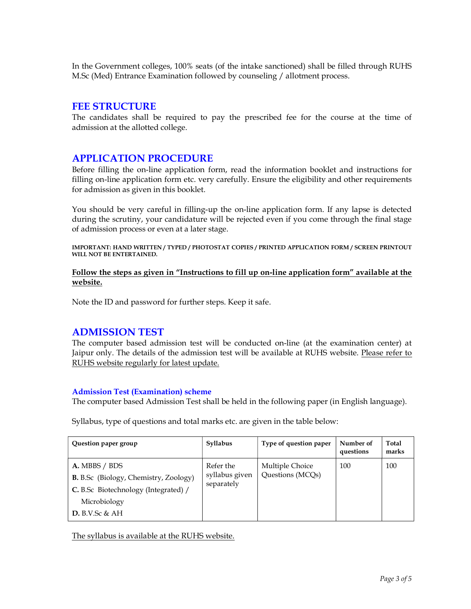In the Government colleges, 100% seats (of the intake sanctioned) shall be filled through RUHS M.Sc (Med) Entrance Examination followed by counseling / allotment process.

#### FEE STRUCTURE

The candidates shall be required to pay the prescribed fee for the course at the time of admission at the allotted college.

## APPLICATION PROCEDURE

Before filling the on-line application form, read the information booklet and instructions for filling on-line application form etc. very carefully. Ensure the eligibility and other requirements for admission as given in this booklet.

You should be very careful in filling-up the on-line application form. If any lapse is detected during the scrutiny, your candidature will be rejected even if you come through the final stage of admission process or even at a later stage.

IMPORTANT: HAND WRITTEN / TYPED / PHOTOSTAT COPIES / PRINTED APPLICATION FORM / SCREEN PRINTOUT WILL NOT BE ENTERTAINED.

Follow the steps as given in "Instructions to fill up on-line application form" available at the website.

Note the ID and password for further steps. Keep it safe.

### ADMISSION TEST

The computer based admission test will be conducted on-line (at the examination center) at Jaipur only. The details of the admission test will be available at RUHS website. Please refer to RUHS website regularly for latest update.

#### Admission Test (Examination) scheme

The computer based Admission Test shall be held in the following paper (in English language).

Syllabus, type of questions and total marks etc. are given in the table below:

| Question paper group                                                                                                                       | Syllabus                                  | Type of question paper              | Number of<br>questions | <b>Total</b><br>marks |
|--------------------------------------------------------------------------------------------------------------------------------------------|-------------------------------------------|-------------------------------------|------------------------|-----------------------|
| A. MBBS / BDS<br><b>B.</b> B.Sc (Biology, Chemistry, Zoology)<br>C. B.Sc Biotechnology (Integrated) /<br>Microbiology<br>D. B.V. Sc & $AH$ | Refer the<br>syllabus given<br>separately | Multiple Choice<br>Questions (MCQs) | 100                    | 100                   |

The syllabus is available at the RUHS website.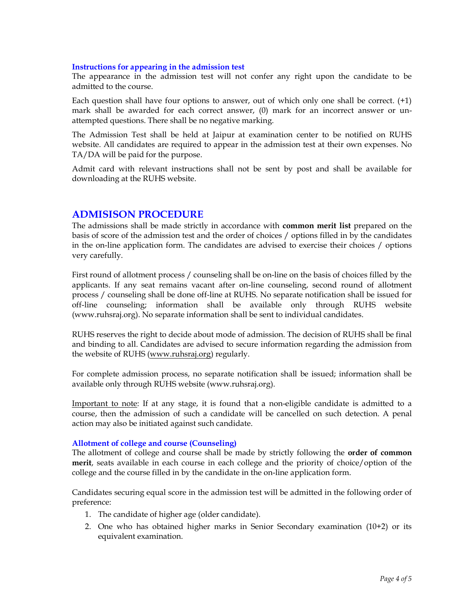#### Instructions for appearing in the admission test

The appearance in the admission test will not confer any right upon the candidate to be admitted to the course.

Each question shall have four options to answer, out of which only one shall be correct. (+1) mark shall be awarded for each correct answer, (0) mark for an incorrect answer or unattempted questions. There shall be no negative marking.

The Admission Test shall be held at Jaipur at examination center to be notified on RUHS website. All candidates are required to appear in the admission test at their own expenses. No TA/DA will be paid for the purpose.

Admit card with relevant instructions shall not be sent by post and shall be available for downloading at the RUHS website.

### ADMISISON PROCEDURE

The admissions shall be made strictly in accordance with **common merit list** prepared on the basis of score of the admission test and the order of choices / options filled in by the candidates in the on-line application form. The candidates are advised to exercise their choices / options very carefully.

First round of allotment process / counseling shall be on-line on the basis of choices filled by the applicants. If any seat remains vacant after on-line counseling, second round of allotment process / counseling shall be done off-line at RUHS. No separate notification shall be issued for off-line counseling; information shall be available only through RUHS website (www.ruhsraj.org). No separate information shall be sent to individual candidates.

RUHS reserves the right to decide about mode of admission. The decision of RUHS shall be final and binding to all. Candidates are advised to secure information regarding the admission from the website of RUHS (www.ruhsraj.org) regularly.

For complete admission process, no separate notification shall be issued; information shall be available only through RUHS website (www.ruhsraj.org).

Important to note: If at any stage, it is found that a non-eligible candidate is admitted to a course, then the admission of such a candidate will be cancelled on such detection. A penal action may also be initiated against such candidate.

#### Allotment of college and course (Counseling)

The allotment of college and course shall be made by strictly following the **order of common** merit, seats available in each course in each college and the priority of choice/option of the college and the course filled in by the candidate in the on-line application form.

Candidates securing equal score in the admission test will be admitted in the following order of preference:

- 1. The candidate of higher age (older candidate).
- 2. One who has obtained higher marks in Senior Secondary examination (10+2) or its equivalent examination.